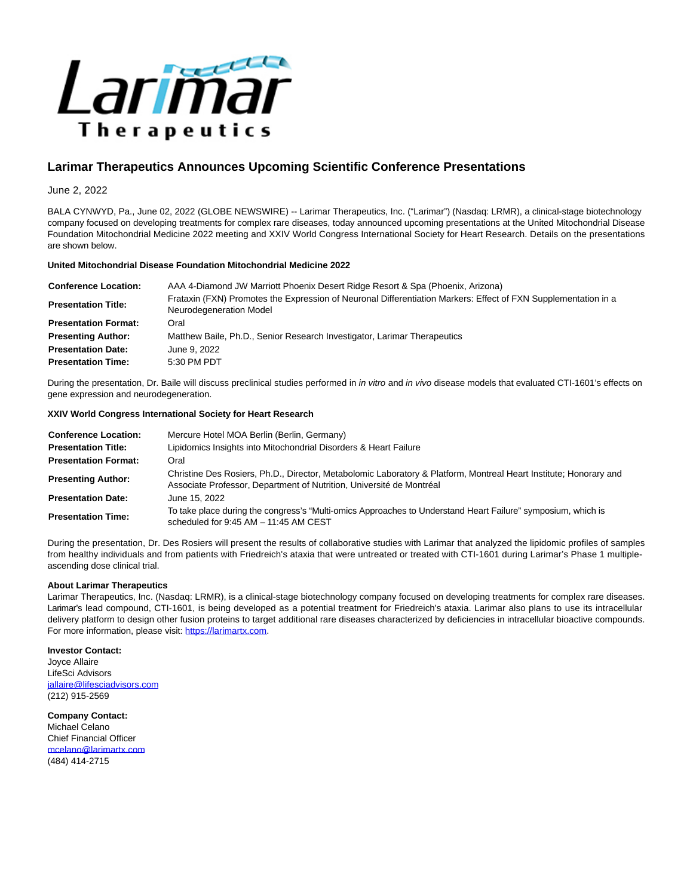

# **Larimar Therapeutics Announces Upcoming Scientific Conference Presentations**

# June 2, 2022

BALA CYNWYD, Pa., June 02, 2022 (GLOBE NEWSWIRE) -- Larimar Therapeutics, Inc. ("Larimar") (Nasdaq: LRMR), a clinical-stage biotechnology company focused on developing treatments for complex rare diseases, today announced upcoming presentations at the United Mitochondrial Disease Foundation Mitochondrial Medicine 2022 meeting and XXIV World Congress International Society for Heart Research. Details on the presentations are shown below.

### **United Mitochondrial Disease Foundation Mitochondrial Medicine 2022**

| <b>Conference Location:</b> | AAA 4-Diamond JW Marriott Phoenix Desert Ridge Resort & Spa (Phoenix, Arizona)                                                            |
|-----------------------------|-------------------------------------------------------------------------------------------------------------------------------------------|
| <b>Presentation Title:</b>  | Frataxin (FXN) Promotes the Expression of Neuronal Differentiation Markers: Effect of FXN Supplementation in a<br>Neurodegeneration Model |
| <b>Presentation Format:</b> | Oral                                                                                                                                      |
| <b>Presenting Author:</b>   | Matthew Baile, Ph.D., Senior Research Investigator, Larimar Therapeutics                                                                  |
| <b>Presentation Date:</b>   | June 9, 2022                                                                                                                              |
| <b>Presentation Time:</b>   | 5:30 PM PDT                                                                                                                               |

During the presentation, Dr. Baile will discuss preclinical studies performed in in vitro and in vivo disease models that evaluated CTI-1601's effects on gene expression and neurodegeneration.

## **XXIV World Congress International Society for Heart Research**

| <b>Conference Location:</b> | Mercure Hotel MOA Berlin (Berlin, Germany)                                                                                                                                                |
|-----------------------------|-------------------------------------------------------------------------------------------------------------------------------------------------------------------------------------------|
| <b>Presentation Title:</b>  | Lipidomics Insights into Mitochondrial Disorders & Heart Failure                                                                                                                          |
| <b>Presentation Format:</b> | Oral                                                                                                                                                                                      |
| <b>Presenting Author:</b>   | Christine Des Rosiers, Ph.D., Director, Metabolomic Laboratory & Platform, Montreal Heart Institute; Honorary and<br>Associate Professor, Department of Nutrition, Université de Montréal |
| <b>Presentation Date:</b>   | June 15, 2022                                                                                                                                                                             |
| <b>Presentation Time:</b>   | To take place during the congress's "Multi-omics Approaches to Understand Heart Failure" symposium, which is<br>scheduled for $9.45$ AM $-$ 11:45 AM CEST                                 |

During the presentation, Dr. Des Rosiers will present the results of collaborative studies with Larimar that analyzed the lipidomic profiles of samples from healthy individuals and from patients with Friedreich's ataxia that were untreated or treated with CTI-1601 during Larimar's Phase 1 multipleascending dose clinical trial.

## **About Larimar Therapeutics**

Larimar Therapeutics, Inc. (Nasdaq: LRMR), is a clinical-stage biotechnology company focused on developing treatments for complex rare diseases. Larimar's lead compound, CTI-1601, is being developed as a potential treatment for Friedreich's ataxia. Larimar also plans to use its intracellular delivery platform to design other fusion proteins to target additional rare diseases characterized by deficiencies in intracellular bioactive compounds. For more information, please visit: [https://larimartx.com.](https://www.globenewswire.com/Tracker?data=mfQJT54yGMjm6te-aRVX6_O9dj-Sip7Ke3HN_gPjuntieq3ei-PbUwK5VeyQV8IdYWDlm8IHTkeRtGrSvAqDseMxESu--VlZnTh5sZkCiV8=)

**Investor Contact:** Joyce Allaire LifeSci Advisors [jallaire@lifesciadvisors.com](https://www.globenewswire.com/Tracker?data=uTHCHeAnvpPS5kk0ktFAd8FA5fCBmy74y2AMooW6cIg_XgrFyci3csHewOI2fF_kUxRQCTkr_z3alwMRy8RCeoNAAkAUD_FZoe1HyV_pc4ndVKLjci0QhnX5-dc9LeKu) (212) 915-2569

**Company Contact:** Michael Celano Chief Financial Officer [mcelano@larimartx.com](https://www.globenewswire.com/Tracker?data=pkkpL4tcuWYVBSpn_-u-I0T2OaXlrdBGLwRoC0lPJ3rRDv_QYUke3AKD7TfNFITVViqdiq9vtzOP4Ymzj1Puh6uqzyEla5h66GJs3sxUFe8=) (484) 414-2715